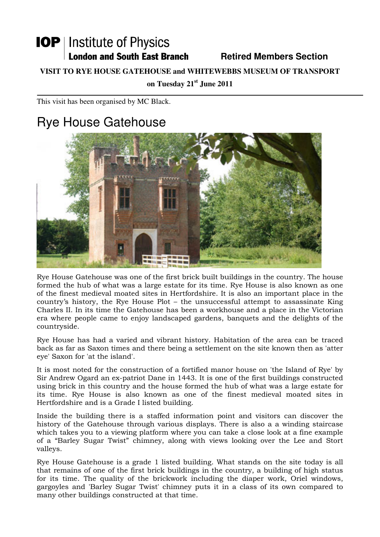# **IOP** | Institute of Physics **London and South East Branch Fig. 2.1 Retired Members Section**

#### **VISIT TO RYE HOUSE GATEHOUSE and WHITEWEBBS MUSEUM OF TRANSPORT**

**on Tuesday 21st June 2011**

This visit has been organised by MC Black.

# Rye House Gatehouse



Rye House Gatehouse was one of the first brick built buildings in the country. The house formed the hub of what was a large estate for its time. Rye House is also known as one of the finest medieval moated sites in Hertfordshire. It is also an important place in the country's history, the Rye House Plot – the unsuccessful attempt to assassinate King Charles II. In its time the Gatehouse has been a workhouse and a place in the Victorian era where people came to enjoy landscaped gardens, banquets and the delights of the countryside.

Rye House has had a varied and vibrant history. Habitation of the area can be traced back as far as Saxon times and there being a settlement on the site known then as 'atter eye' Saxon for 'at the island'.

It is most noted for the construction of a fortified manor house on 'the Island of Rye' by Sir Andrew Ogard an ex-patriot Dane in 1443. It is one of the first buildings constructed using brick in this country and the house formed the hub of what was a large estate for its time. Rye House is also known as one of the finest medieval moated sites in Hertfordshire and is a Grade I listed building.

Inside the building there is a staffed information point and visitors can discover the history of the Gatehouse through various displays. There is also a a winding staircase which takes you to a viewing platform where you can take a close look at a fine example of a "Barley Sugar Twist" chimney, along with views looking over the Lee and Stort valleys.

Rye House Gatehouse is a grade 1 listed building. What stands on the site today is all that remains of one of the first brick buildings in the country, a building of high status for its time. The quality of the brickwork including the diaper work, Oriel windows, gargoyles and 'Barley Sugar Twist' chimney puts it in a class of its own compared to many other buildings constructed at that time.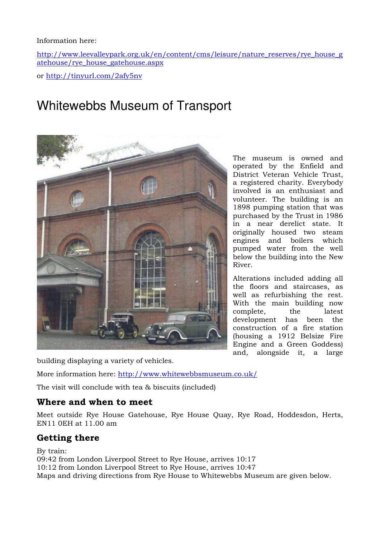#### Information here:

http://www.leevalleypark.org.uk/en/content/cms/leisure/nature\_reserves/rye\_house\_g atehouse/rye\_house\_gatehouse.aspx

or http://tinyurl.com/2afy5nv

# Whitewebbs Museum of Transport



building displaying a variety of vehicles.

More information here: http://www.whitewebbsmuseum.co.uk/

The visit will conclude with tea & biscuits (included)

### Where and when to meet

Meet outside Rye House Gatehouse, Rye House Quay, Rye Road, Hoddesdon, Herts, EN11 0EH at 11.00 am

### Getting there

By train: 09:42 from London Liverpool Street to Rye House, arrives 10:17 10:12 from London Liverpool Street to Rye House, arrives 10:47 Maps and driving directions from Rye House to Whitewebbs Museum are given below.

The museum is owned and operated by the Enfield and District Veteran Vehicle Trust, a registered charity. Everybody involved is an enthusiast and volunteer. The building is an 1898 pumping station that was purchased by the Trust in 1986 in a near derelict state. It originally housed two steam engines and boilers which pumped water from the well below the building into the New River.

Alterations included adding all the floors and staircases, as well as refurbishing the rest. With the main building now complete, the latest development has been the construction of a fire station (housing a 1912 Belsize Fire Engine and a Green Goddess) and, alongside it, a large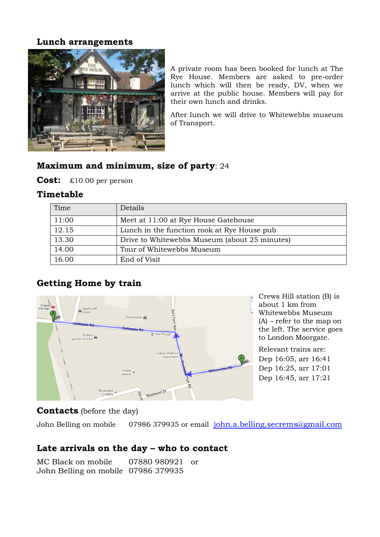#### Lunch arrangements



A private room has been booked for lunch at The Rye House. Members are asked to pre-order lunch which will then be ready, DV, when we arrive at the public house. Members will pay for their own lunch and drinks.

After lunch we will drive to Whitewebbs museum of Transport.

## Maximum and minimum, size of party: 24

Cost: £10.00 per person

### Timetable

| Time  | Details                                        |
|-------|------------------------------------------------|
| 11:00 | Meet at 11:00 at Rye House Gatehouse           |
| 12.15 | Lunch in the function rook at Rye House pub    |
| 13.30 | Drive to White webbs Museum (about 25 minutes) |
| 14.00 | Tour of Whitewebbs Museum                      |
| 16.00 | End of Visit                                   |

### Getting Home by train



### **Contacts** (before the day)

John Belling on mobile 07986 379935 or email john.a.belling.secrems@gmail.com

### Late arrivals on the day – who to contact

MC Black on mobile 07880 980921 or John Belling on mobile 07986 379935